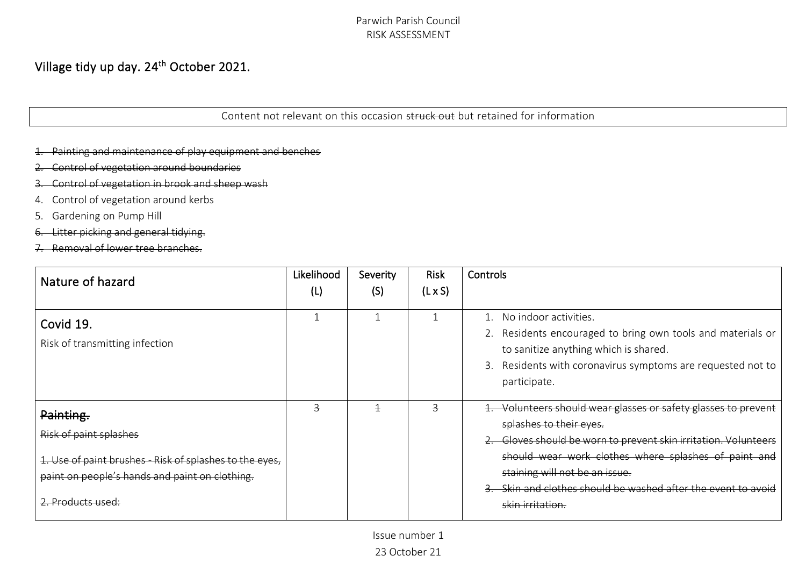# Village tidy up day. 24<sup>th</sup> October 2021.

Content not relevant on this occasion struck out but retained for information

Painting and maintenance of play equipment and benches

- Control of vegetation around boundaries
- 3. Control of vegetation in brook and sheep wash
- 4. Control of vegetation around kerbs
- 5. Gardening on Pump Hill
- 6. Litter picking and general tidying.
- 7. Removal of lower tree branches.

| Nature of hazard                                                                                                                                                               | Likelihood<br>(L) | Severity<br>(S) | <b>Risk</b><br>$(L \times S)$ | Controls                                                                                                                                                                                                                                                                                                                           |
|--------------------------------------------------------------------------------------------------------------------------------------------------------------------------------|-------------------|-----------------|-------------------------------|------------------------------------------------------------------------------------------------------------------------------------------------------------------------------------------------------------------------------------------------------------------------------------------------------------------------------------|
| Covid 19.<br>Risk of transmitting infection                                                                                                                                    |                   |                 |                               | No indoor activities.<br>2. Residents encouraged to bring own tools and materials or<br>to sanitize anything which is shared.<br>3. Residents with coronavirus symptoms are requested not to<br>participate.                                                                                                                       |
| Painting.<br>Risk of paint splashes<br>1. Use of paint brushes Risk of splashes to the eyes,<br>paint on people's hands and paint on clothing.<br><del>2. Products used:</del> | 3                 |                 |                               | Volunteers should wear glasses or safety glasses to prevent<br>splashes to their eyes.<br>Gloves should be worn to prevent skin irritation. Volunteers<br>should wear work clothes where splashes of paint and<br>staining will not be an issue.<br>Skin and clothes should be washed after the event to avoid<br>skin irritation. |

Issue number 1

23 October 21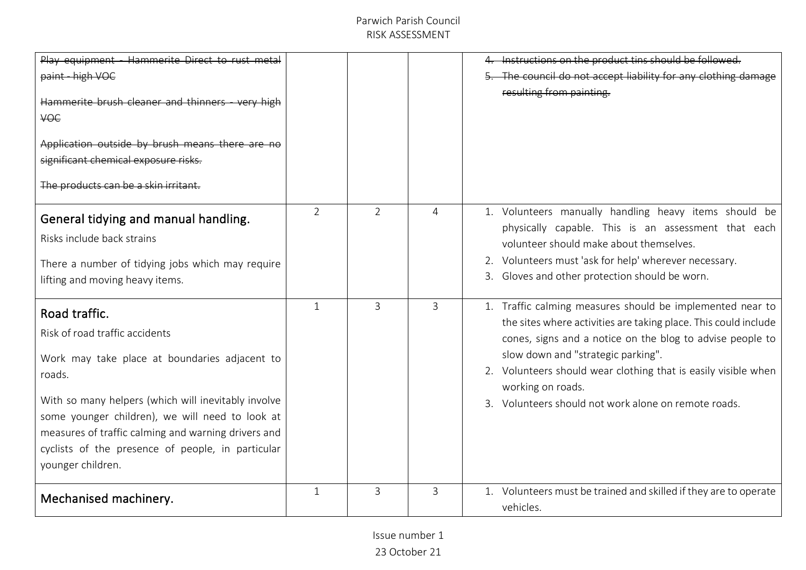| Play equipment - Hammerite Direct to rust metal<br>paint - high VOC<br>Hammerite brush cleaner and thinners - very high<br><b>VOC</b><br>Application outside by brush means there are no<br>significant chemical exposure risks.<br>The products can be a skin irritant                                                                               |                |                |   | Instructions on the product tins should be followed.<br>The council do not accept liability for any clothing damage<br>resulting from painting.                                                                                                                                                                                                                                |
|-------------------------------------------------------------------------------------------------------------------------------------------------------------------------------------------------------------------------------------------------------------------------------------------------------------------------------------------------------|----------------|----------------|---|--------------------------------------------------------------------------------------------------------------------------------------------------------------------------------------------------------------------------------------------------------------------------------------------------------------------------------------------------------------------------------|
| General tidying and manual handling.<br>Risks include back strains<br>There a number of tidying jobs which may require<br>lifting and moving heavy items.                                                                                                                                                                                             | $\overline{2}$ | $\overline{2}$ | 4 | 1. Volunteers manually handling heavy items should be<br>physically capable. This is an assessment that each<br>volunteer should make about themselves.<br>2. Volunteers must 'ask for help' wherever necessary.<br>3. Gloves and other protection should be worn.                                                                                                             |
| Road traffic.<br>Risk of road traffic accidents<br>Work may take place at boundaries adjacent to<br>roads.<br>With so many helpers (which will inevitably involve<br>some younger children), we will need to look at<br>measures of traffic calming and warning drivers and<br>cyclists of the presence of people, in particular<br>younger children. | $\mathbf{1}$   | $\mathbf{3}$   | 3 | 1. Traffic calming measures should be implemented near to<br>the sites where activities are taking place. This could include<br>cones, signs and a notice on the blog to advise people to<br>slow down and "strategic parking".<br>2. Volunteers should wear clothing that is easily visible when<br>working on roads.<br>3. Volunteers should not work alone on remote roads. |
| Mechanised machinery.                                                                                                                                                                                                                                                                                                                                 | $\mathbf{1}$   | 3              | 3 | 1. Volunteers must be trained and skilled if they are to operate<br>vehicles.                                                                                                                                                                                                                                                                                                  |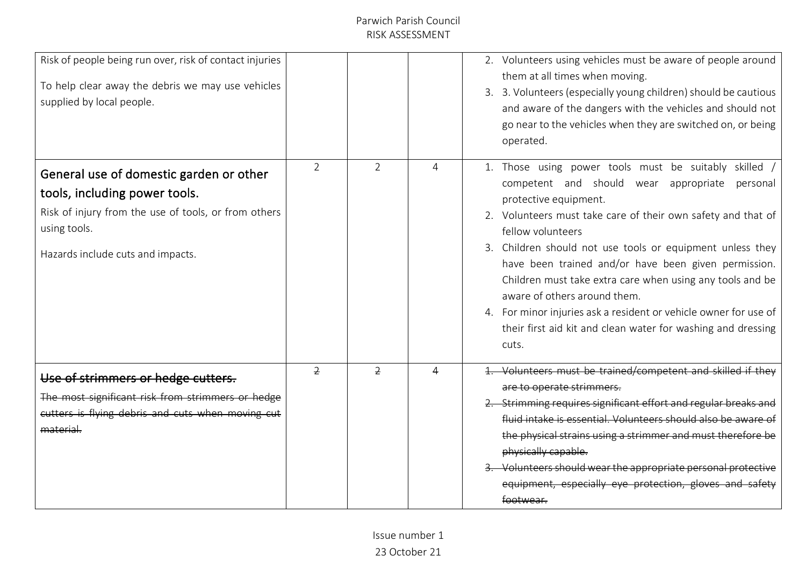| Risk of people being run over, risk of contact injuries<br>To help clear away the debris we may use vehicles<br>supplied by local people.                                             |                |                |   | 2. Volunteers using vehicles must be aware of people around<br>them at all times when moving.<br>3. 3. Volunteers (especially young children) should be cautious<br>and aware of the dangers with the vehicles and should not<br>go near to the vehicles when they are switched on, or being<br>operated.                                                                                                                                                                                                                                                                          |
|---------------------------------------------------------------------------------------------------------------------------------------------------------------------------------------|----------------|----------------|---|------------------------------------------------------------------------------------------------------------------------------------------------------------------------------------------------------------------------------------------------------------------------------------------------------------------------------------------------------------------------------------------------------------------------------------------------------------------------------------------------------------------------------------------------------------------------------------|
| General use of domestic garden or other<br>tools, including power tools.<br>Risk of injury from the use of tools, or from others<br>using tools.<br>Hazards include cuts and impacts. | $\overline{2}$ | $\overline{2}$ | 4 | 1. Those using power tools must be suitably skilled<br>competent and should wear appropriate personal<br>protective equipment.<br>2. Volunteers must take care of their own safety and that of<br>fellow volunteers<br>3. Children should not use tools or equipment unless they<br>have been trained and/or have been given permission.<br>Children must take extra care when using any tools and be<br>aware of others around them.<br>4. For minor injuries ask a resident or vehicle owner for use of<br>their first aid kit and clean water for washing and dressing<br>cuts. |
| Use of strimmers or hedge cutters.<br>The most significant risk from strimmers or hedge<br>cutters is flying debris and cuts when moving cut<br>material.                             | $\overline{2}$ | $\overline{2}$ |   | 1. Volunteers must be trained/competent and skilled if they<br>are to operate strimmers.<br>Strimming requires significant effort and regular breaks and<br>fluid intake is essential. Volunteers should also be aware of<br>the physical strains using a strimmer and must therefore be<br>physically capable.<br>Volunteers should wear the appropriate personal protective<br>equipment, especially eye protection, gloves<br>footwear.                                                                                                                                         |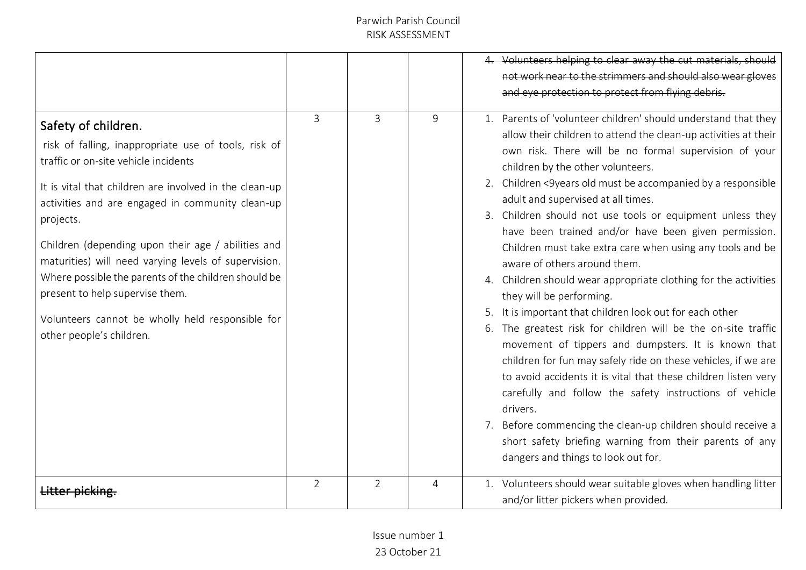|                                                                                                                                                                                                                                                                                                                                                                                                                                                                                                                                         |                |                |   | Volunteers helping to clear away the cut materials, should<br>not work near to the strimmers and should also wear gloves<br>and eye protection to protect from flying debris.                                                                                                                                                                                                                                                                                                                                                                                                                                                                                                                                                                                                                                                                                                                                                                                                                                                                                                                                                                                                                                      |
|-----------------------------------------------------------------------------------------------------------------------------------------------------------------------------------------------------------------------------------------------------------------------------------------------------------------------------------------------------------------------------------------------------------------------------------------------------------------------------------------------------------------------------------------|----------------|----------------|---|--------------------------------------------------------------------------------------------------------------------------------------------------------------------------------------------------------------------------------------------------------------------------------------------------------------------------------------------------------------------------------------------------------------------------------------------------------------------------------------------------------------------------------------------------------------------------------------------------------------------------------------------------------------------------------------------------------------------------------------------------------------------------------------------------------------------------------------------------------------------------------------------------------------------------------------------------------------------------------------------------------------------------------------------------------------------------------------------------------------------------------------------------------------------------------------------------------------------|
| Safety of children.<br>risk of falling, inappropriate use of tools, risk of<br>traffic or on-site vehicle incidents<br>It is vital that children are involved in the clean-up<br>activities and are engaged in community clean-up<br>projects.<br>Children (depending upon their age / abilities and<br>maturities) will need varying levels of supervision.<br>Where possible the parents of the children should be<br>present to help supervise them.<br>Volunteers cannot be wholly held responsible for<br>other people's children. | 3              | 3              | 9 | 1. Parents of 'volunteer children' should understand that they<br>allow their children to attend the clean-up activities at their<br>own risk. There will be no formal supervision of your<br>children by the other volunteers.<br>2. Children <9years old must be accompanied by a responsible<br>adult and supervised at all times.<br>3. Children should not use tools or equipment unless they<br>have been trained and/or have been given permission.<br>Children must take extra care when using any tools and be<br>aware of others around them.<br>4. Children should wear appropriate clothing for the activities<br>they will be performing.<br>It is important that children look out for each other<br>6. The greatest risk for children will be the on-site traffic<br>movement of tippers and dumpsters. It is known that<br>children for fun may safely ride on these vehicles, if we are<br>to avoid accidents it is vital that these children listen very<br>carefully and follow the safety instructions of vehicle<br>drivers.<br>7. Before commencing the clean-up children should receive a<br>short safety briefing warning from their parents of any<br>dangers and things to look out for. |
|                                                                                                                                                                                                                                                                                                                                                                                                                                                                                                                                         | $\overline{2}$ | $\overline{2}$ | 4 | 1. Volunteers should wear suitable gloves when handling litter<br>and/or litter pickers when provided.                                                                                                                                                                                                                                                                                                                                                                                                                                                                                                                                                                                                                                                                                                                                                                                                                                                                                                                                                                                                                                                                                                             |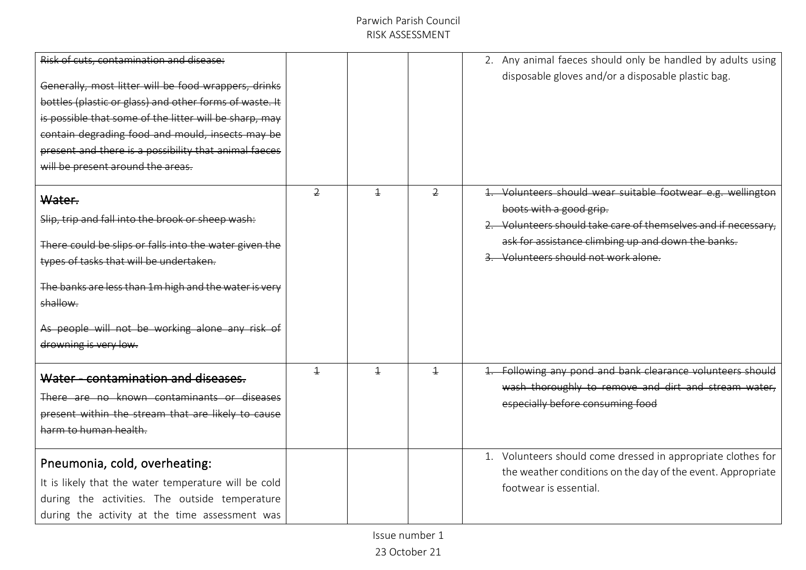| Risk of cuts, contamination and disease:<br>Generally, most litter will be food wrappers, drinks<br>bottles (plastic or glass) and other forms of waste. It<br>is possible that some of the litter will be sharp, may<br>contain degrading food and mould, insects may be<br>present and there is a possibility that animal facces<br>will be present around the areas. |                |                |                | 2. Any animal faeces should only be handled by adults using<br>disposable gloves and/or a disposable plastic bag.                                                                                                                                   |
|-------------------------------------------------------------------------------------------------------------------------------------------------------------------------------------------------------------------------------------------------------------------------------------------------------------------------------------------------------------------------|----------------|----------------|----------------|-----------------------------------------------------------------------------------------------------------------------------------------------------------------------------------------------------------------------------------------------------|
| Water.<br>Slip, trip and fall into the brook or sheep wash:<br>There could be slips or falls into the water given the<br>types of tasks that will be undertaken.<br>The banks are less than 1m high and the water is very<br>shallow.<br>As people will not be working alone any risk<br>drowning is very low.                                                          | $\overline{2}$ | $\overline{1}$ | $\overline{2}$ | Volunteers should wear suitable footwear e.g. wellingtor<br>boots with a good grip.<br>2. Volunteers should take care of themselves and if necessary.<br>ask for assistance climbing up and down the banks.<br>3. Volunteers should not work alone. |
| Water - contamination and diseases.<br><del>known contaminants</del><br>present within the stream that are likely to cause<br>harm to human health.                                                                                                                                                                                                                     | $\overline{+}$ | $\overline{1}$ | 4              | 1. Following any pond and bank clearance volunteers should<br>wash thoroughly to remove and dirt and stream water,<br>especially before consuming food                                                                                              |
| Pneumonia, cold, overheating:<br>It is likely that the water temperature will be cold<br>during the activities. The outside temperature<br>during the activity at the time assessment was                                                                                                                                                                               |                |                |                | 1. Volunteers should come dressed in appropriate clothes for<br>the weather conditions on the day of the event. Appropriate<br>footwear is essential.                                                                                               |

Issue number 1

23 October 21